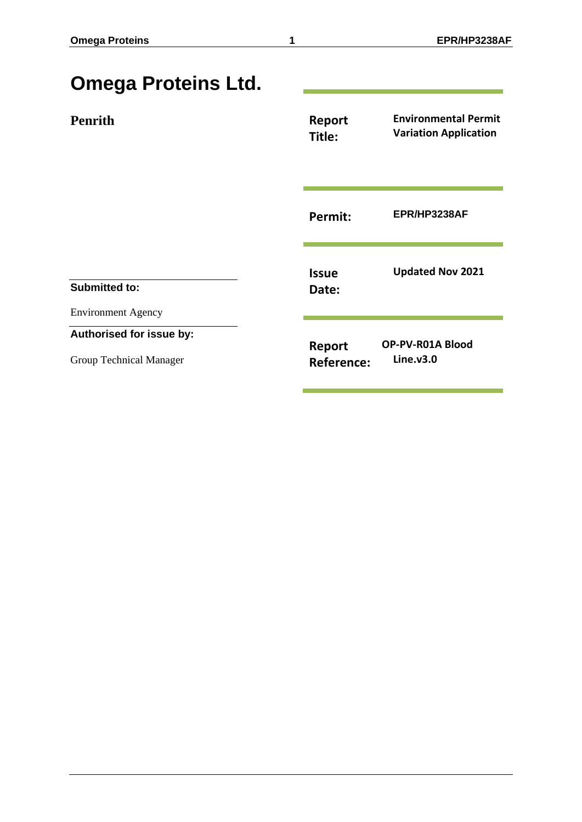| <b>Omega Proteins Ltd.</b>                          |                             |                                                             |
|-----------------------------------------------------|-----------------------------|-------------------------------------------------------------|
| <b>Penrith</b>                                      | Report<br>Title:            | <b>Environmental Permit</b><br><b>Variation Application</b> |
|                                                     | Permit:                     | EPR/HP3238AF                                                |
| <b>Submitted to:</b><br><b>Environment Agency</b>   | <b>Issue</b><br>Date:       | <b>Updated Nov 2021</b>                                     |
| Authorised for issue by:<br>Group Technical Manager | Report<br><b>Reference:</b> | OP-PV-R01A Blood<br>Line.y3.0                               |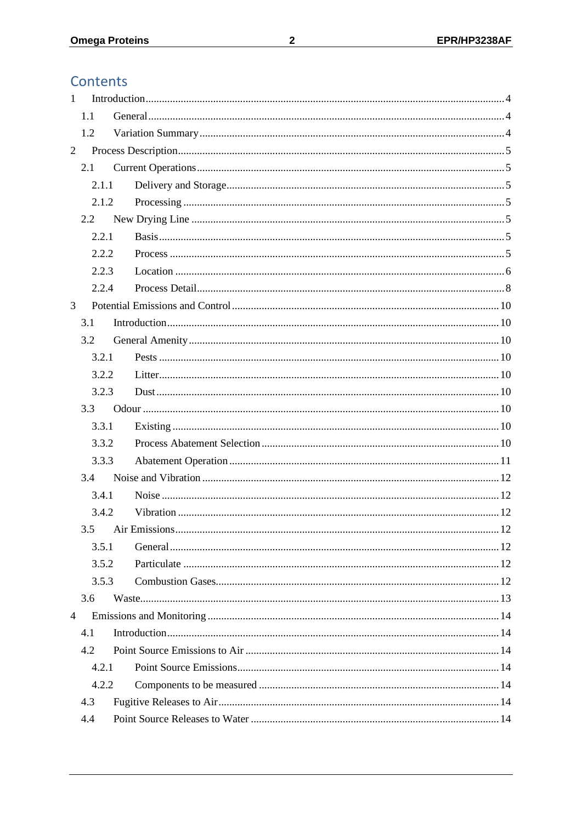# Contents

| $\mathbf{1}$   |         |  |
|----------------|---------|--|
|                | 1.1     |  |
|                | 1.2     |  |
| $\overline{2}$ |         |  |
|                | 2.1     |  |
|                | 2.1.1   |  |
|                | 2.1.2   |  |
|                | $2.2\,$ |  |
|                | 2.2.1   |  |
|                | 2.2.2   |  |
|                | 2.2.3   |  |
|                | 2.2.4   |  |
| 3              |         |  |
|                | 3.1     |  |
|                | 3.2     |  |
|                | 3.2.1   |  |
|                | 3.2.2   |  |
|                | 3.2.3   |  |
|                | 3.3     |  |
|                | 3.3.1   |  |
|                | 3.3.2   |  |
|                | 3.3.3   |  |
|                | 3.4     |  |
|                | 3.4.1   |  |
|                | 3.4.2   |  |
| 3.5            |         |  |
|                | 3.5.1   |  |
|                | 3.5.2   |  |
|                | 3.5.3   |  |
|                | 3.6     |  |
| $\overline{4}$ |         |  |
|                | 4.1     |  |
|                | 4.2     |  |
|                | 4.2.1   |  |
| 4.2.2          |         |  |
|                | 4.3     |  |
|                | 4.4     |  |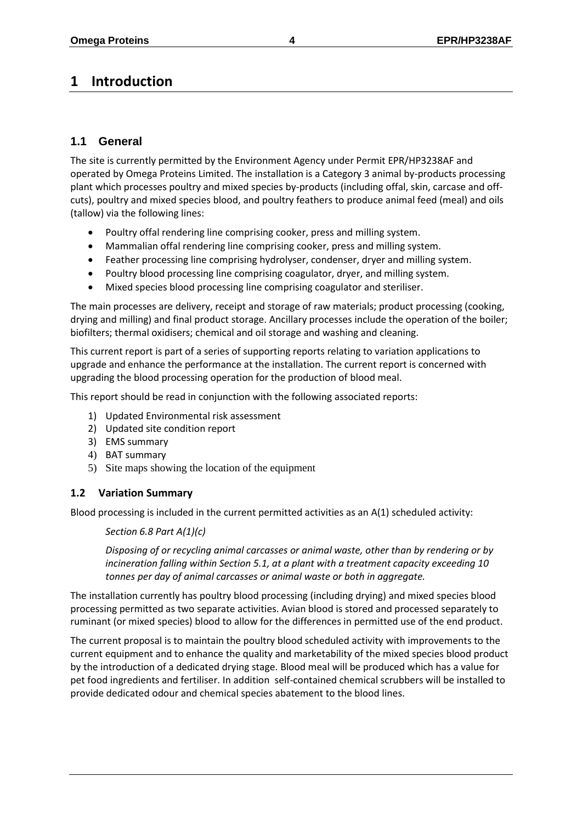# <span id="page-3-0"></span>**1 Introduction**

# <span id="page-3-1"></span>**1.1 General**

The site is currently permitted by the Environment Agency under Permit EPR/HP3238AF and operated by Omega Proteins Limited. The installation is a Category 3 animal by-products processing plant which processes poultry and mixed species by-products (including offal, skin, carcase and offcuts), poultry and mixed species blood, and poultry feathers to produce animal feed (meal) and oils (tallow) via the following lines:

- Poultry offal rendering line comprising cooker, press and milling system.
- Mammalian offal rendering line comprising cooker, press and milling system.
- Feather processing line comprising hydrolyser, condenser, dryer and milling system.
- Poultry blood processing line comprising coagulator, dryer, and milling system.
- Mixed species blood processing line comprising coagulator and steriliser.

The main processes are delivery, receipt and storage of raw materials; product processing (cooking, drying and milling) and final product storage. Ancillary processes include the operation of the boiler; biofilters; thermal oxidisers; chemical and oil storage and washing and cleaning.

This current report is part of a series of supporting reports relating to variation applications to upgrade and enhance the performance at the installation. The current report is concerned with upgrading the blood processing operation for the production of blood meal.

This report should be read in conjunction with the following associated reports:

- 1) Updated Environmental risk assessment
- 2) Updated site condition report
- 3) EMS summary
- 4) BAT summary
- 5) Site maps showing the location of the equipment

# <span id="page-3-2"></span>**1.2 Variation Summary**

Blood processing is included in the current permitted activities as an A(1) scheduled activity:

# *Section 6.8 Part A(1)(c)*

*Disposing of or recycling animal carcasses or animal waste, other than by rendering or by incineration falling within Section 5.1, at a plant with a treatment capacity exceeding 10 tonnes per day of animal carcasses or animal waste or both in aggregate.*

The installation currently has poultry blood processing (including drying) and mixed species blood processing permitted as two separate activities. Avian blood is stored and processed separately to ruminant (or mixed species) blood to allow for the differences in permitted use of the end product.

The current proposal is to maintain the poultry blood scheduled activity with improvements to the current equipment and to enhance the quality and marketability of the mixed species blood product by the introduction of a dedicated drying stage. Blood meal will be produced which has a value for pet food ingredients and fertiliser. In addition self-contained chemical scrubbers will be installed to provide dedicated odour and chemical species abatement to the blood lines.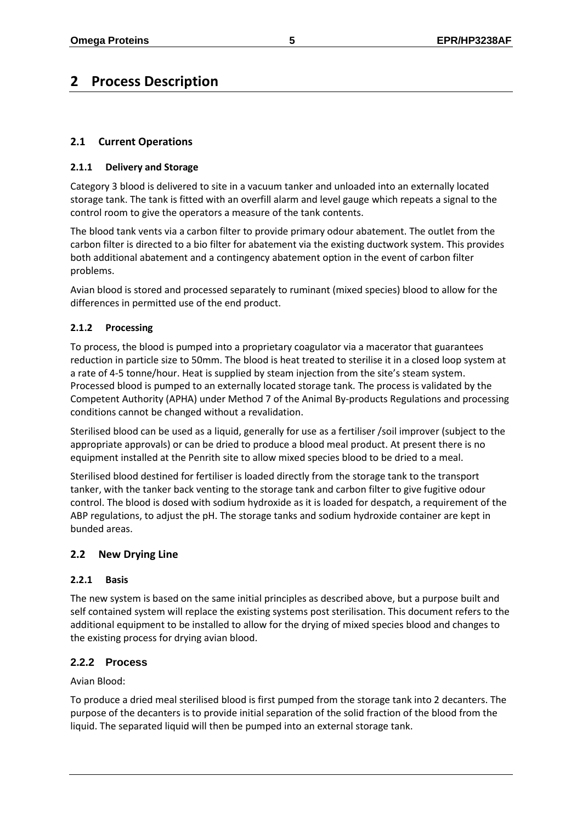# <span id="page-4-0"></span>**2 Process Description**

# <span id="page-4-1"></span>**2.1 Current Operations**

#### <span id="page-4-2"></span>**2.1.1 Delivery and Storage**

Category 3 blood is delivered to site in a vacuum tanker and unloaded into an externally located storage tank. The tank is fitted with an overfill alarm and level gauge which repeats a signal to the control room to give the operators a measure of the tank contents.

The blood tank vents via a carbon filter to provide primary odour abatement. The outlet from the carbon filter is directed to a bio filter for abatement via the existing ductwork system. This provides both additional abatement and a contingency abatement option in the event of carbon filter problems.

Avian blood is stored and processed separately to ruminant (mixed species) blood to allow for the differences in permitted use of the end product.

# <span id="page-4-3"></span>**2.1.2 Processing**

To process, the blood is pumped into a proprietary coagulator via a macerator that guarantees reduction in particle size to 50mm. The blood is heat treated to sterilise it in a closed loop system at a rate of 4-5 tonne/hour. Heat is supplied by steam injection from the site's steam system. Processed blood is pumped to an externally located storage tank. The process is validated by the Competent Authority (APHA) under Method 7 of the Animal By-products Regulations and processing conditions cannot be changed without a revalidation.

Sterilised blood can be used as a liquid, generally for use as a fertiliser /soil improver (subject to the appropriate approvals) or can be dried to produce a blood meal product. At present there is no equipment installed at the Penrith site to allow mixed species blood to be dried to a meal.

Sterilised blood destined for fertiliser is loaded directly from the storage tank to the transport tanker, with the tanker back venting to the storage tank and carbon filter to give fugitive odour control. The blood is dosed with sodium hydroxide as it is loaded for despatch, a requirement of the ABP regulations, to adjust the pH. The storage tanks and sodium hydroxide container are kept in bunded areas.

# <span id="page-4-4"></span>**2.2 New Drying Line**

#### <span id="page-4-5"></span>**2.2.1 Basis**

The new system is based on the same initial principles as described above, but a purpose built and self contained system will replace the existing systems post sterilisation. This document refers to the additional equipment to be installed to allow for the drying of mixed species blood and changes to the existing process for drying avian blood.

# <span id="page-4-6"></span>**2.2.2 Process**

Avian Blood:

To produce a dried meal sterilised blood is first pumped from the storage tank into 2 decanters. The purpose of the decanters is to provide initial separation of the solid fraction of the blood from the liquid. The separated liquid will then be pumped into an external storage tank.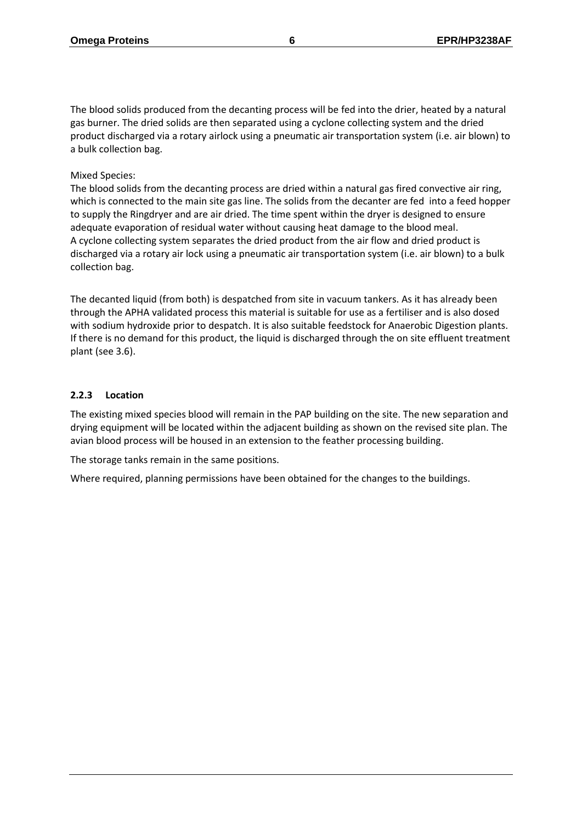The blood solids produced from the decanting process will be fed into the drier, heated by a natural gas burner. The dried solids are then separated using a cyclone collecting system and the dried product discharged via a rotary airlock using a pneumatic air transportation system (i.e. air blown) to a bulk collection bag.

#### Mixed Species:

The blood solids from the decanting process are dried within a natural gas fired convective air ring, which is connected to the main site gas line. The solids from the decanter are fed into a feed hopper to supply the Ringdryer and are air dried. The time spent within the dryer is designed to ensure adequate evaporation of residual water without causing heat damage to the blood meal. A cyclone collecting system separates the dried product from the air flow and dried product is discharged via a rotary air lock using a pneumatic air transportation system (i.e. air blown) to a bulk collection bag.

The decanted liquid (from both) is despatched from site in vacuum tankers. As it has already been through the APHA validated process this material is suitable for use as a fertiliser and is also dosed with sodium hydroxide prior to despatch. It is also suitable feedstock for Anaerobic Digestion plants. If there is no demand for this product, the liquid is discharged through the on site effluent treatment plant (see 3.6).

#### <span id="page-5-0"></span>**2.2.3 Location**

The existing mixed species blood will remain in the PAP building on the site. The new separation and drying equipment will be located within the adjacent building as shown on the revised site plan. The avian blood process will be housed in an extension to the feather processing building.

The storage tanks remain in the same positions.

Where required, planning permissions have been obtained for the changes to the buildings.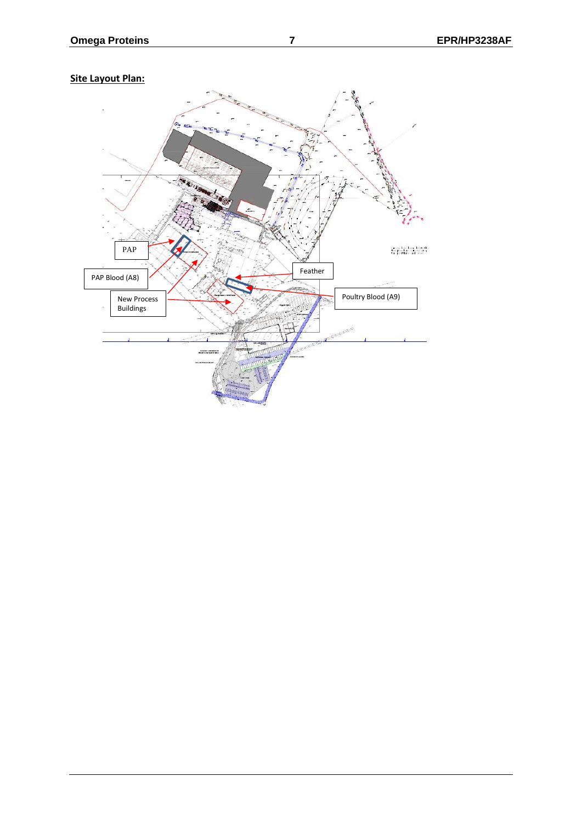

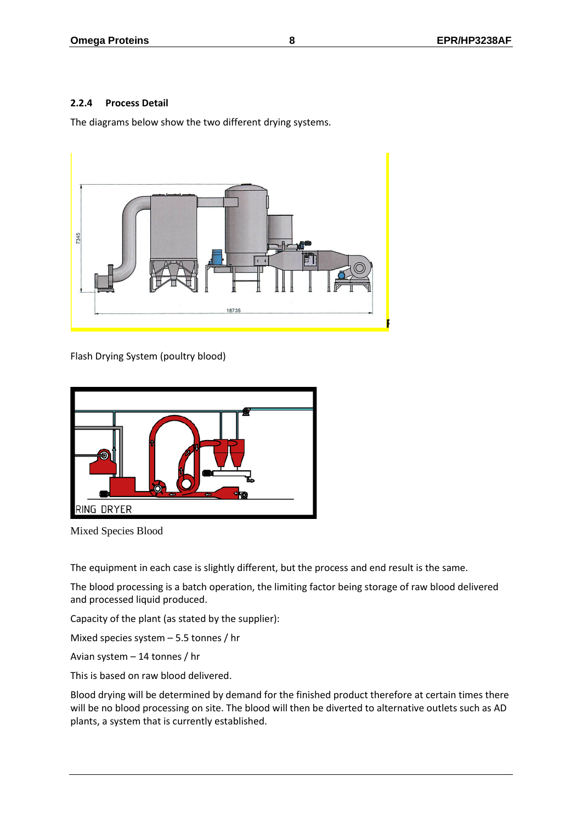#### <span id="page-7-0"></span>**2.2.4 Process Detail**

The diagrams below show the two different drying systems.



Flash Drying System (poultry blood)



Mixed Species Blood

The equipment in each case is slightly different, but the process and end result is the same.

The blood processing is a batch operation, the limiting factor being storage of raw blood delivered and processed liquid produced.

Capacity of the plant (as stated by the supplier):

Mixed species system – 5.5 tonnes / hr

Avian system – 14 tonnes / hr

This is based on raw blood delivered.

Blood drying will be determined by demand for the finished product therefore at certain times there will be no blood processing on site. The blood will then be diverted to alternative outlets such as AD plants, a system that is currently established.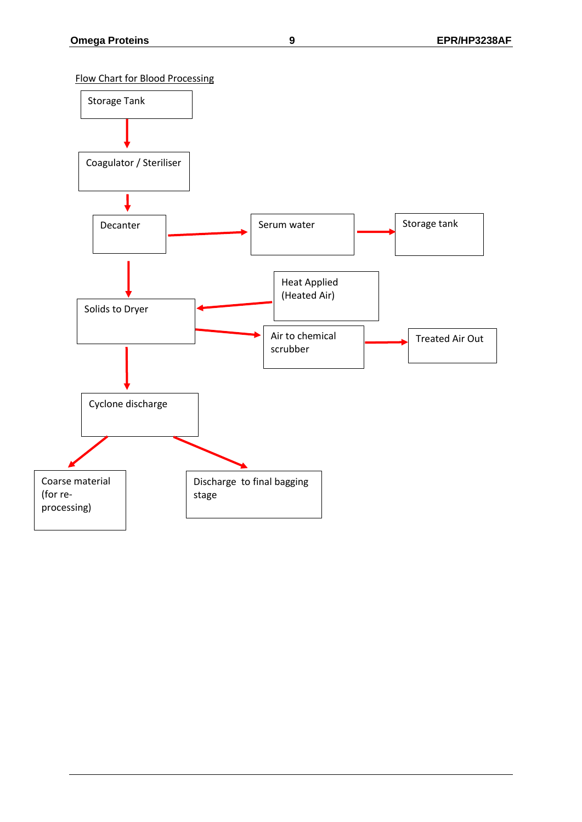Flow Chart for Blood Processing

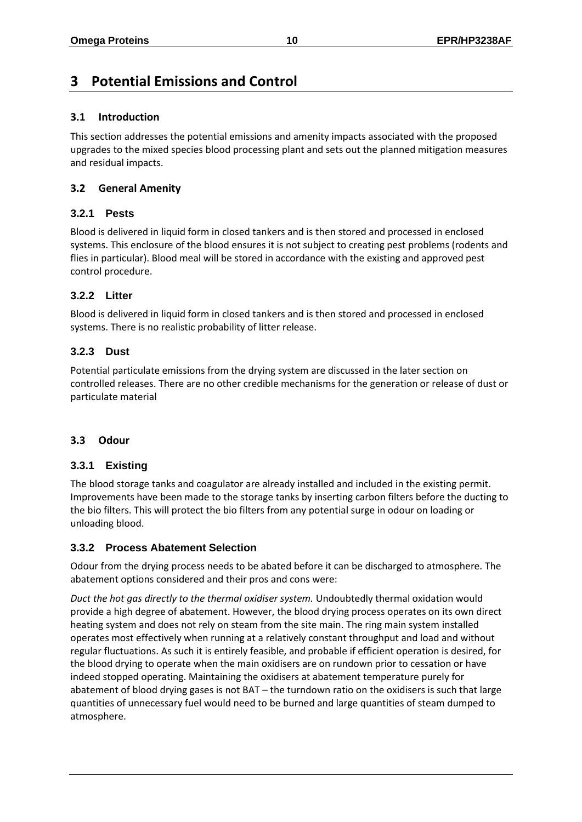# <span id="page-9-0"></span>**3 Potential Emissions and Control**

# <span id="page-9-1"></span>**3.1 Introduction**

This section addresses the potential emissions and amenity impacts associated with the proposed upgrades to the mixed species blood processing plant and sets out the planned mitigation measures and residual impacts.

# <span id="page-9-2"></span>**3.2 General Amenity**

# <span id="page-9-3"></span>**3.2.1 Pests**

Blood is delivered in liquid form in closed tankers and is then stored and processed in enclosed systems. This enclosure of the blood ensures it is not subject to creating pest problems (rodents and flies in particular). Blood meal will be stored in accordance with the existing and approved pest control procedure.

# <span id="page-9-4"></span>**3.2.2 Litter**

Blood is delivered in liquid form in closed tankers and is then stored and processed in enclosed systems. There is no realistic probability of litter release.

# <span id="page-9-5"></span>**3.2.3 Dust**

Potential particulate emissions from the drying system are discussed in the later section on controlled releases. There are no other credible mechanisms for the generation or release of dust or particulate material

# <span id="page-9-6"></span>**3.3 Odour**

# <span id="page-9-7"></span>**3.3.1 Existing**

The blood storage tanks and coagulator are already installed and included in the existing permit. Improvements have been made to the storage tanks by inserting carbon filters before the ducting to the bio filters. This will protect the bio filters from any potential surge in odour on loading or unloading blood.

# <span id="page-9-8"></span>**3.3.2 Process Abatement Selection**

Odour from the drying process needs to be abated before it can be discharged to atmosphere. The abatement options considered and their pros and cons were:

*Duct the hot gas directly to the thermal oxidiser system.* Undoubtedly thermal oxidation would provide a high degree of abatement. However, the blood drying process operates on its own direct heating system and does not rely on steam from the site main. The ring main system installed operates most effectively when running at a relatively constant throughput and load and without regular fluctuations. As such it is entirely feasible, and probable if efficient operation is desired, for the blood drying to operate when the main oxidisers are on rundown prior to cessation or have indeed stopped operating. Maintaining the oxidisers at abatement temperature purely for abatement of blood drying gases is not BAT – the turndown ratio on the oxidisers is such that large quantities of unnecessary fuel would need to be burned and large quantities of steam dumped to atmosphere.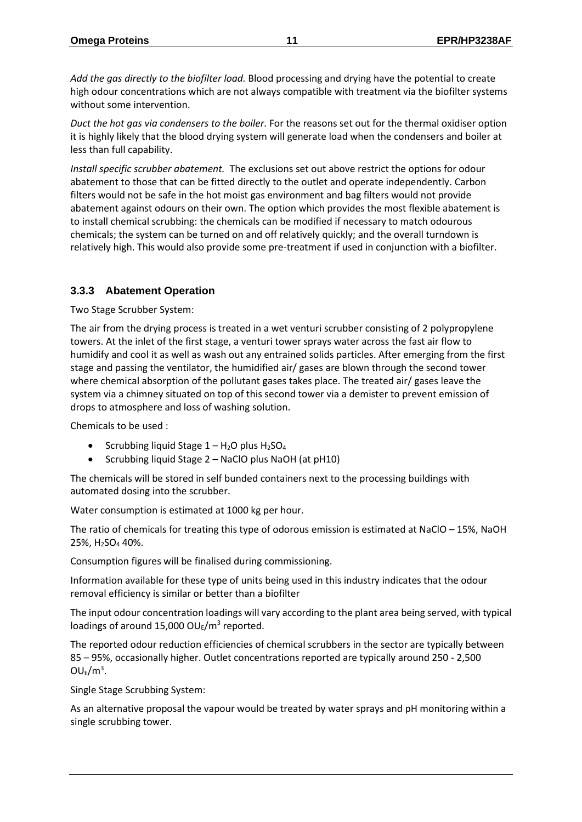*Add the gas directly to the biofilter load.* Blood processing and drying have the potential to create high odour concentrations which are not always compatible with treatment via the biofilter systems without some intervention.

*Duct the hot gas via condensers to the boiler.* For the reasons set out for the thermal oxidiser option it is highly likely that the blood drying system will generate load when the condensers and boiler at less than full capability.

*Install specific scrubber abatement.* The exclusions set out above restrict the options for odour abatement to those that can be fitted directly to the outlet and operate independently. Carbon filters would not be safe in the hot moist gas environment and bag filters would not provide abatement against odours on their own. The option which provides the most flexible abatement is to install chemical scrubbing: the chemicals can be modified if necessary to match odourous chemicals; the system can be turned on and off relatively quickly; and the overall turndown is relatively high. This would also provide some pre-treatment if used in conjunction with a biofilter.

# <span id="page-10-0"></span>**3.3.3 Abatement Operation**

Two Stage Scrubber System:

The air from the drying process is treated in a wet venturi scrubber consisting of 2 polypropylene towers. At the inlet of the first stage, a venturi tower sprays water across the fast air flow to humidify and cool it as well as wash out any entrained solids particles. After emerging from the first stage and passing the ventilator, the humidified air/ gases are blown through the second tower where chemical absorption of the pollutant gases takes place. The treated air/ gases leave the system via a chimney situated on top of this second tower via a demister to prevent emission of drops to atmosphere and loss of washing solution.

Chemicals to be used :

- Scrubbing liquid Stage  $1 H_2O$  plus  $H_2SO_4$
- Scrubbing liquid Stage 2 NaClO plus NaOH (at pH10)

The chemicals will be stored in self bunded containers next to the processing buildings with automated dosing into the scrubber.

Water consumption is estimated at 1000 kg per hour.

The ratio of chemicals for treating this type of odorous emission is estimated at NaClO – 15%, NaOH 25%, H2SO<sup>4</sup> 40%.

Consumption figures will be finalised during commissioning.

Information available for these type of units being used in this industry indicates that the odour removal efficiency is similar or better than a biofilter

The input odour concentration loadings will vary according to the plant area being served, with typical loadings of around 15,000  $OU_E/m^3$  reported.

The reported odour reduction efficiencies of chemical scrubbers in the sector are typically between 85 – 95%, occasionally higher. Outlet concentrations reported are typically around 250 - 2,500  $OU_E/m^3$ .

Single Stage Scrubbing System:

As an alternative proposal the vapour would be treated by water sprays and pH monitoring within a single scrubbing tower.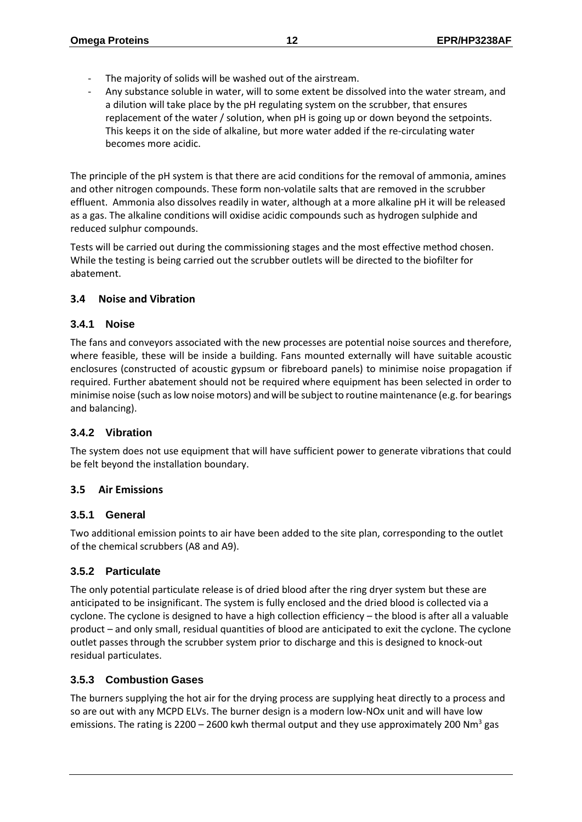- The majority of solids will be washed out of the airstream.
- Any substance soluble in water, will to some extent be dissolved into the water stream, and a dilution will take place by the pH regulating system on the scrubber, that ensures replacement of the water / solution, when pH is going up or down beyond the setpoints. This keeps it on the side of alkaline, but more water added if the re-circulating water becomes more acidic.

The principle of the pH system is that there are acid conditions for the removal of ammonia, amines and other nitrogen compounds. These form non-volatile salts that are removed in the scrubber effluent. Ammonia also dissolves readily in water, although at a more alkaline pH it will be released as a gas. The alkaline conditions will oxidise acidic compounds such as hydrogen sulphide and reduced sulphur compounds.

Tests will be carried out during the commissioning stages and the most effective method chosen. While the testing is being carried out the scrubber outlets will be directed to the biofilter for abatement.

# <span id="page-11-0"></span>**3.4 Noise and Vibration**

# <span id="page-11-1"></span>**3.4.1 Noise**

The fans and conveyors associated with the new processes are potential noise sources and therefore, where feasible, these will be inside a building. Fans mounted externally will have suitable acoustic enclosures (constructed of acoustic gypsum or fibreboard panels) to minimise noise propagation if required. Further abatement should not be required where equipment has been selected in order to minimise noise (such as low noise motors) and will be subject to routine maintenance (e.g. for bearings and balancing).

# <span id="page-11-2"></span>**3.4.2 Vibration**

The system does not use equipment that will have sufficient power to generate vibrations that could be felt beyond the installation boundary.

# <span id="page-11-3"></span>**3.5 Air Emissions**

# <span id="page-11-4"></span>**3.5.1 General**

Two additional emission points to air have been added to the site plan, corresponding to the outlet of the chemical scrubbers (A8 and A9).

# <span id="page-11-5"></span>**3.5.2 Particulate**

The only potential particulate release is of dried blood after the ring dryer system but these are anticipated to be insignificant. The system is fully enclosed and the dried blood is collected via a cyclone. The cyclone is designed to have a high collection efficiency – the blood is after all a valuable product – and only small, residual quantities of blood are anticipated to exit the cyclone. The cyclone outlet passes through the scrubber system prior to discharge and this is designed to knock-out residual particulates.

# <span id="page-11-6"></span>**3.5.3 Combustion Gases**

The burners supplying the hot air for the drying process are supplying heat directly to a process and so are out with any MCPD ELVs. The burner design is a modern low-NOx unit and will have low emissions. The rating is 2200 - 2600 kwh thermal output and they use approximately 200 Nm<sup>3</sup> gas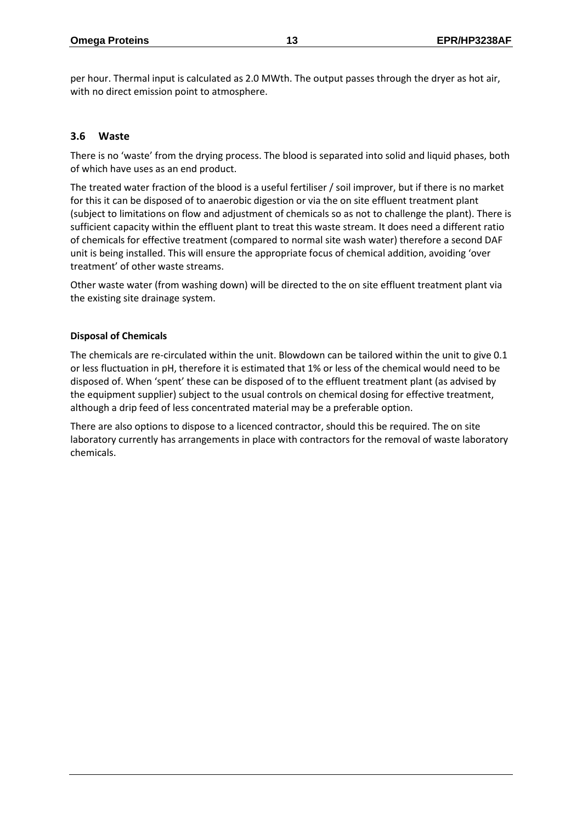per hour. Thermal input is calculated as 2.0 MWth. The output passes through the dryer as hot air, with no direct emission point to atmosphere.

# <span id="page-12-0"></span>**3.6 Waste**

There is no 'waste' from the drying process. The blood is separated into solid and liquid phases, both of which have uses as an end product.

The treated water fraction of the blood is a useful fertiliser / soil improver, but if there is no market for this it can be disposed of to anaerobic digestion or via the on site effluent treatment plant (subject to limitations on flow and adjustment of chemicals so as not to challenge the plant). There is sufficient capacity within the effluent plant to treat this waste stream. It does need a different ratio of chemicals for effective treatment (compared to normal site wash water) therefore a second DAF unit is being installed. This will ensure the appropriate focus of chemical addition, avoiding 'over treatment' of other waste streams.

Other waste water (from washing down) will be directed to the on site effluent treatment plant via the existing site drainage system.

#### **Disposal of Chemicals**

The chemicals are re-circulated within the unit. Blowdown can be tailored within the unit to give 0.1 or less fluctuation in pH, therefore it is estimated that 1% or less of the chemical would need to be disposed of. When 'spent' these can be disposed of to the effluent treatment plant (as advised by the equipment supplier) subject to the usual controls on chemical dosing for effective treatment, although a drip feed of less concentrated material may be a preferable option.

There are also options to dispose to a licenced contractor, should this be required. The on site laboratory currently has arrangements in place with contractors for the removal of waste laboratory chemicals.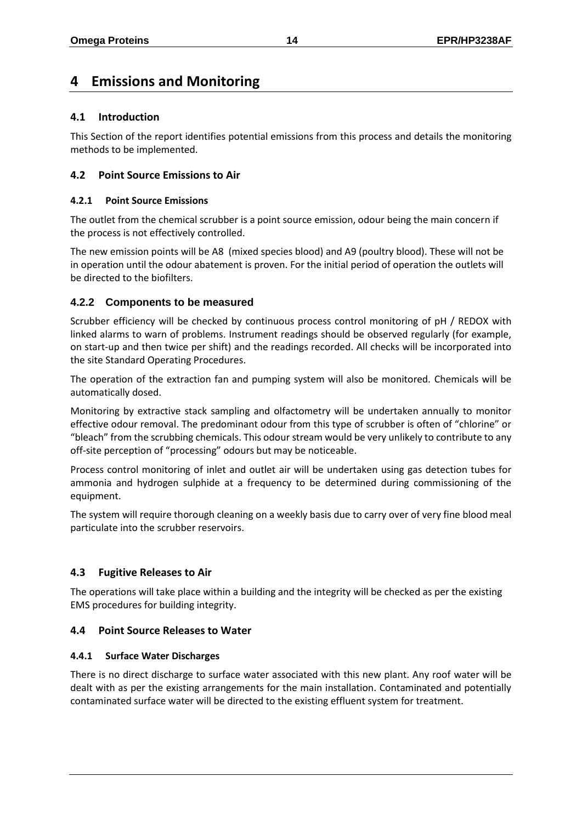# <span id="page-13-0"></span>**4 Emissions and Monitoring**

# <span id="page-13-1"></span>**4.1 Introduction**

This Section of the report identifies potential emissions from this process and details the monitoring methods to be implemented.

# <span id="page-13-2"></span>**4.2 Point Source Emissions to Air**

#### <span id="page-13-3"></span>**4.2.1 Point Source Emissions**

The outlet from the chemical scrubber is a point source emission, odour being the main concern if the process is not effectively controlled.

The new emission points will be A8 (mixed species blood) and A9 (poultry blood). These will not be in operation until the odour abatement is proven. For the initial period of operation the outlets will be directed to the biofilters.

# <span id="page-13-4"></span>**4.2.2 Components to be measured**

Scrubber efficiency will be checked by continuous process control monitoring of pH / REDOX with linked alarms to warn of problems. Instrument readings should be observed regularly (for example, on start-up and then twice per shift) and the readings recorded. All checks will be incorporated into the site Standard Operating Procedures.

The operation of the extraction fan and pumping system will also be monitored. Chemicals will be automatically dosed.

Monitoring by extractive stack sampling and olfactometry will be undertaken annually to monitor effective odour removal. The predominant odour from this type of scrubber is often of "chlorine" or "bleach" from the scrubbing chemicals. This odour stream would be very unlikely to contribute to any off-site perception of "processing" odours but may be noticeable.

Process control monitoring of inlet and outlet air will be undertaken using gas detection tubes for ammonia and hydrogen sulphide at a frequency to be determined during commissioning of the equipment.

The system will require thorough cleaning on a weekly basis due to carry over of very fine blood meal particulate into the scrubber reservoirs.

# <span id="page-13-5"></span>**4.3 Fugitive Releases to Air**

The operations will take place within a building and the integrity will be checked as per the existing EMS procedures for building integrity.

# <span id="page-13-6"></span>**4.4 Point Source Releases to Water**

# <span id="page-13-7"></span>**4.4.1 Surface Water Discharges**

There is no direct discharge to surface water associated with this new plant. Any roof water will be dealt with as per the existing arrangements for the main installation. Contaminated and potentially contaminated surface water will be directed to the existing effluent system for treatment.